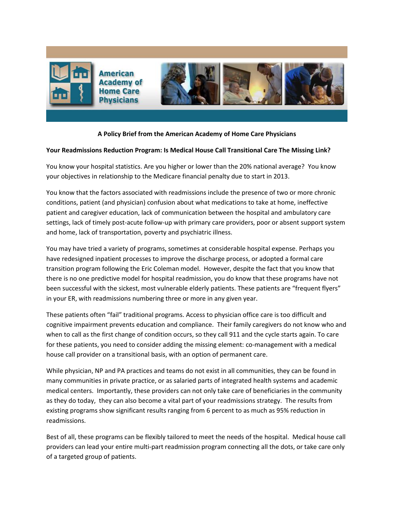

# **A Policy Brief from the American Academy of Home Care Physicians**

# **Your Readmissions Reduction Program: Is Medical House Call Transitional Care The Missing Link?**

You know your hospital statistics. Are you higher or lower than the 20% national average? You know your objectives in relationship to the Medicare financial penalty due to start in 2013.

You know that the factors associated with readmissions include the presence of two or more chronic conditions, patient (and physician) confusion about what medications to take at home, ineffective patient and caregiver education, lack of communication between the hospital and ambulatory care settings, lack of timely post-acute follow-up with primary care providers, poor or absent support system and home, lack of transportation, poverty and psychiatric illness.

You may have tried a variety of programs, sometimes at considerable hospital expense. Perhaps you have redesigned inpatient processes to improve the discharge process, or adopted a formal care transition program following the Eric Coleman model. However, despite the fact that you know that there is no one predictive model for hospital readmission, you do know that these programs have not been successful with the sickest, most vulnerable elderly patients. These patients are "frequent flyers" in your ER, with readmissions numbering three or more in any given year.

These patients often "fail" traditional programs. Access to physician office care is too difficult and cognitive impairment prevents education and compliance. Their family caregivers do not know who and when to call as the first change of condition occurs, so they call 911 and the cycle starts again. To care for these patients, you need to consider adding the missing element: co-management with a medical house call provider on a transitional basis, with an option of permanent care.

While physician, NP and PA practices and teams do not exist in all communities, they can be found in many communities in private practice, or as salaried parts of integrated health systems and academic medical centers. Importantly, these providers can not only take care of beneficiaries in the community as they do today, they can also become a vital part of your readmissions strategy. The results from existing programs show significant results ranging from 6 percent to as much as 95% reduction in readmissions.

Best of all, these programs can be flexibly tailored to meet the needs of the hospital. Medical house call providers can lead your entire multi-part readmission program connecting all the dots, or take care only of a targeted group of patients.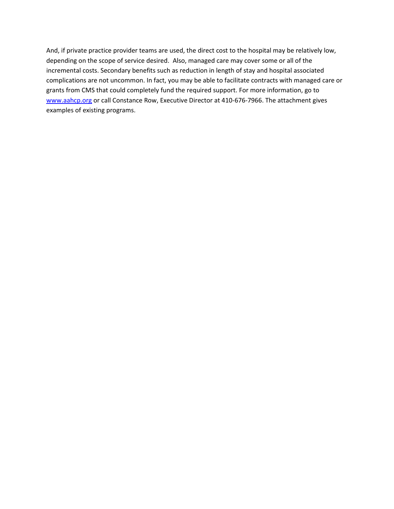And, if private practice provider teams are used, the direct cost to the hospital may be relatively low, depending on the scope of service desired. Also, managed care may cover some or all of the incremental costs. Secondary benefits such as reduction in length of stay and hospital associated complications are not uncommon. In fact, you may be able to facilitate contracts with managed care or grants from CMS that could completely fund the required support. For more information, go to [www.aahcp.org](http://www.aahcp.org/) or call Constance Row, Executive Director at 410-676-7966. The attachment gives examples of existing programs.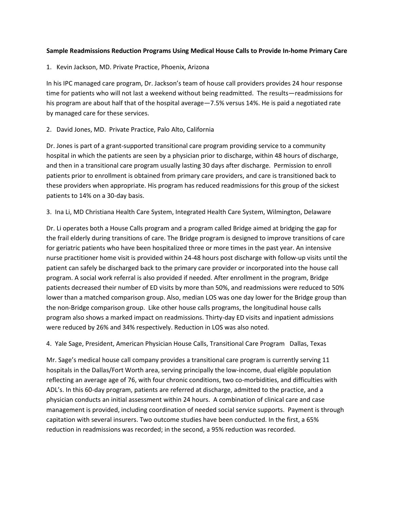# **Sample Readmissions Reduction Programs Using Medical House Calls to Provide In-home Primary Care**

1. Kevin Jackson, MD. Private Practice, Phoenix, Arizona

In his IPC managed care program, Dr. Jackson's team of house call providers provides 24 hour response time for patients who will not last a weekend without being readmitted. The results—readmissions for his program are about half that of the hospital average -7.5% versus 14%. He is paid a negotiated rate by managed care for these services.

# 2. David Jones, MD. Private Practice, Palo Alto, California

Dr. Jones is part of a grant-supported transitional care program providing service to a community hospital in which the patients are seen by a physician prior to discharge, within 48 hours of discharge, and then in a transitional care program usually lasting 30 days after discharge. Permission to enroll patients prior to enrollment is obtained from primary care providers, and care is transitioned back to these providers when appropriate. His program has reduced readmissions for this group of the sickest patients to 14% on a 30-day basis.

### 3. Ina Li, MD Christiana Health Care System, Integrated Health Care System, Wilmington, Delaware

Dr. Li operates both a House Calls program and a program called Bridge aimed at bridging the gap for the frail elderly during transitions of care. The Bridge program is designed to improve transitions of care for geriatric patients who have been hospitalized three or more times in the past year. An intensive nurse practitioner home visit is provided within 24-48 hours post discharge with follow-up visits until the patient can safely be discharged back to the primary care provider or incorporated into the house call program. A social work referral is also provided if needed. After enrollment in the program, Bridge patients decreased their number of ED visits by more than 50%, and readmissions were reduced to 50% lower than a matched comparison group. Also, median LOS was one day lower for the Bridge group than the non-Bridge comparison group. Like other house calls programs, the longitudinal house calls program also shows a marked impact on readmissions. Thirty-day ED visits and inpatient admissions were reduced by 26% and 34% respectively. Reduction in LOS was also noted.

4. Yale Sage, President, American Physician House Calls, Transitional Care Program Dallas, Texas

Mr. Sage's medical house call company provides a transitional care program is currently serving 11 hospitals in the Dallas/Fort Worth area, serving principally the low-income, dual eligible population reflecting an average age of 76, with four chronic conditions, two co-morbidities, and difficulties with ADL's. In this 60-day program, patients are referred at discharge, admitted to the practice, and a physician conducts an initial assessment within 24 hours. A combination of clinical care and case management is provided, including coordination of needed social service supports. Payment is through capitation with several insurers. Two outcome studies have been conducted. In the first, a 65% reduction in readmissions was recorded; in the second, a 95% reduction was recorded.